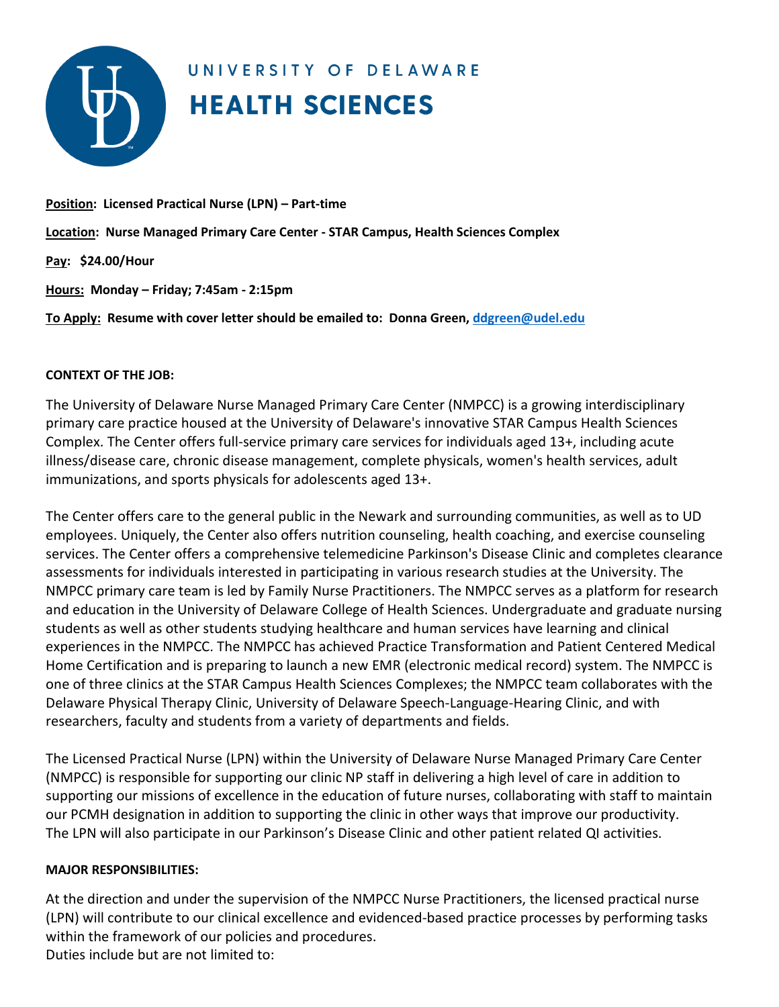

# UNIVERSITY OF DELAWARE **HEALTH SCIENCES**

### **Position: Licensed Practical Nurse (LPN) – Part-time**

**Location: Nurse Managed Primary Care Center - STAR Campus, Health Sciences Complex**

**Pay: \$24.00/Hour**

**Hours: Monday – Friday; 7:45am - 2:15pm**

**To Apply: Resume with cover letter should be emailed to: Donna Green[, ddgreen@udel.edu](mailto:ddgreen@udel.edu)** 

### **CONTEXT OF THE JOB:**

The University of Delaware Nurse Managed Primary Care Center (NMPCC) is a growing interdisciplinary primary care practice housed at the University of Delaware's innovative STAR Campus Health Sciences Complex. The Center offers full-service primary care services for individuals aged 13+, including acute illness/disease care, chronic disease management, complete physicals, women's health services, adult immunizations, and sports physicals for adolescents aged 13+.

The Center offers care to the general public in the Newark and surrounding communities, as well as to UD employees. Uniquely, the Center also offers nutrition counseling, health coaching, and exercise counseling services. The Center offers a comprehensive telemedicine Parkinson's Disease Clinic and completes clearance assessments for individuals interested in participating in various research studies at the University. The NMPCC primary care team is led by Family Nurse Practitioners. The NMPCC serves as a platform for research and education in the University of Delaware College of Health Sciences. Undergraduate and graduate nursing students as well as other students studying healthcare and human services have learning and clinical experiences in the NMPCC. The NMPCC has achieved Practice Transformation and Patient Centered Medical Home Certification and is preparing to launch a new EMR (electronic medical record) system. The NMPCC is one of three clinics at the STAR Campus Health Sciences Complexes; the NMPCC team collaborates with the Delaware Physical Therapy Clinic, University of Delaware Speech-Language-Hearing Clinic, and with researchers, faculty and students from a variety of departments and fields.

The Licensed Practical Nurse (LPN) within the University of Delaware Nurse Managed Primary Care Center (NMPCC) is responsible for supporting our clinic NP staff in delivering a high level of care in addition to supporting our missions of excellence in the education of future nurses, collaborating with staff to maintain our PCMH designation in addition to supporting the clinic in other ways that improve our productivity. The LPN will also participate in our Parkinson's Disease Clinic and other patient related QI activities.

# **MAJOR RESPONSIBILITIES:**

At the direction and under the supervision of the NMPCC Nurse Practitioners, the licensed practical nurse (LPN) will contribute to our clinical excellence and evidenced-based practice processes by performing tasks within the framework of our policies and procedures. Duties include but are not limited to: